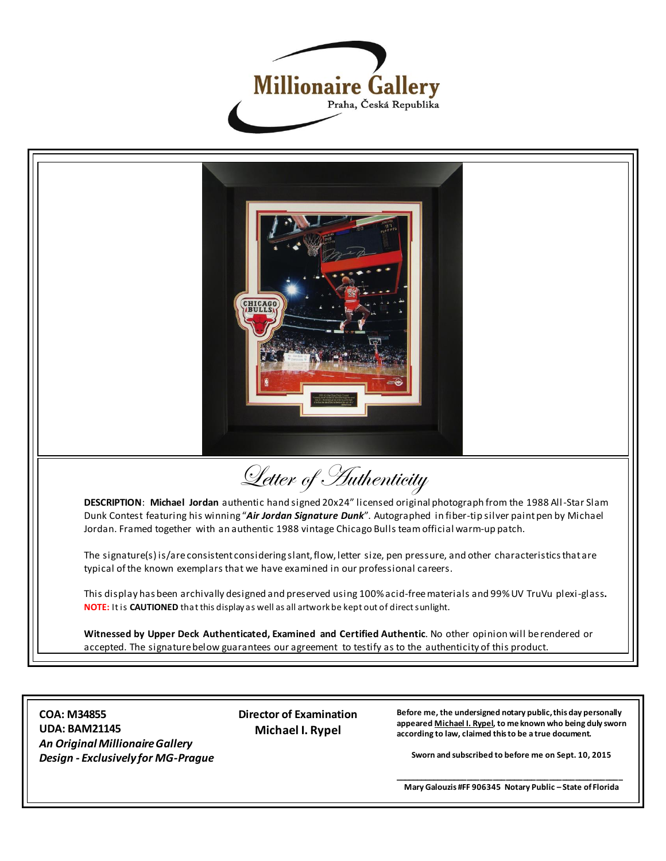



**COA: M34855 UDA: BAM21145** *An Original Millionaire Gallery Design - Exclusively for MG-Prague*  **Director of Examination Michael I. Rypel**

**Before me, the undersigned notary public, this day personally appeared Michael I. Rypel, to me known who being duly sworn according to law, claimed this to be a true document.**

**Sworn and subscribed to before me on Sept. 10, 2015**

**\_\_\_\_\_\_\_\_\_\_\_\_\_\_\_\_\_\_\_\_\_\_\_\_\_\_\_\_\_\_\_\_\_\_\_\_\_\_\_\_\_\_\_\_\_\_\_\_\_\_\_\_\_ Mary Galouzis #FF 906345 Notary Public – State of Florida**